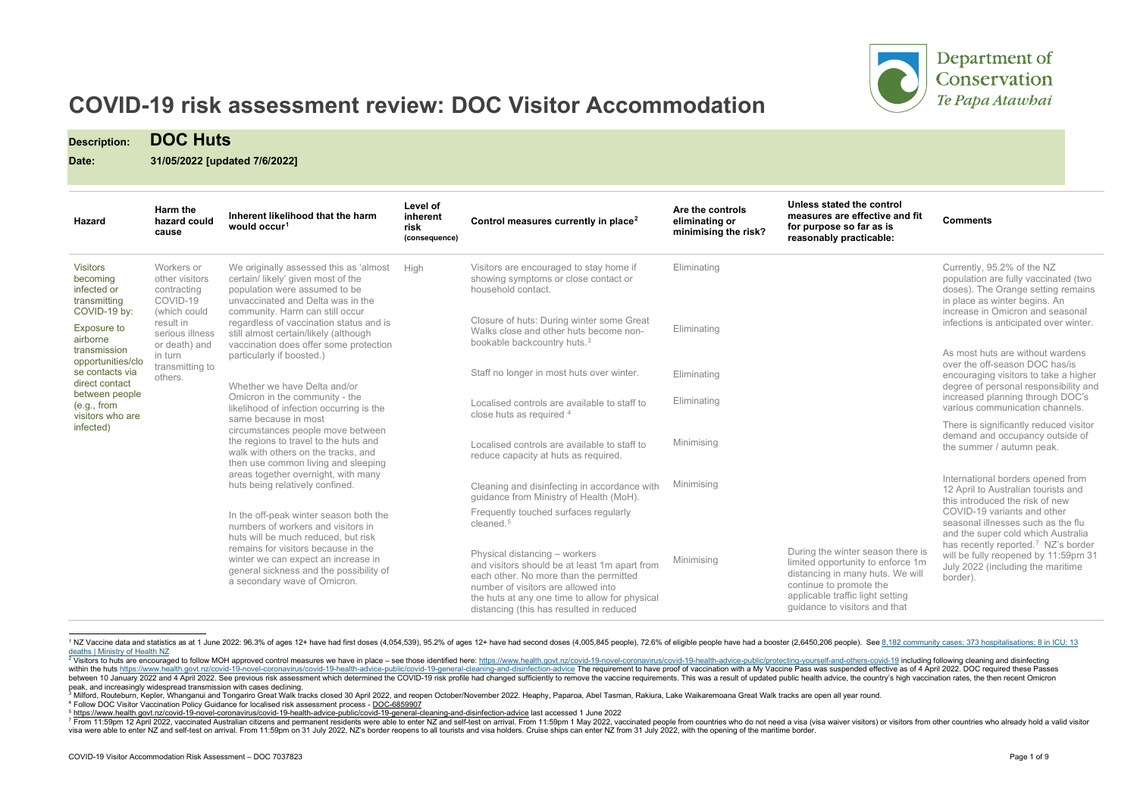<span id="page-0-5"></span><span id="page-0-4"></span><span id="page-0-3"></span><span id="page-0-2"></span><span id="page-0-1"></span><span id="page-0-0"></span>

Department of Conservation Te Papa Atawhai

### **he control** *effective and fit* far as is cticable:

# **COVID-19 risk assessment review: DOC Visitor Accommodation**

**Description: DOC Huts**

**Date: 31/05/2022 [updated 7/6/2022]**

| <b>Hazard</b>                                                                       | Harm the<br>hazard could<br>cause                                                      | Inherent likelihood that the harm<br>would occur <sup>1</sup>                                                                                                                                                                                                                                                                                                                                                                                                                                                                                                                                                                                                                                                                                                                                                                                                          | Level of<br>inherent<br>risk<br>(consequence) | Control measures currently in place <sup>2</sup>                                                                                                                                                                                                              | Are the controls<br>eliminating or<br>minimising the risk? | Unless stated the control<br>measures are effective and fit<br>for purpose so far as is<br>reasonably practicable:                                                                                         |
|-------------------------------------------------------------------------------------|----------------------------------------------------------------------------------------|------------------------------------------------------------------------------------------------------------------------------------------------------------------------------------------------------------------------------------------------------------------------------------------------------------------------------------------------------------------------------------------------------------------------------------------------------------------------------------------------------------------------------------------------------------------------------------------------------------------------------------------------------------------------------------------------------------------------------------------------------------------------------------------------------------------------------------------------------------------------|-----------------------------------------------|---------------------------------------------------------------------------------------------------------------------------------------------------------------------------------------------------------------------------------------------------------------|------------------------------------------------------------|------------------------------------------------------------------------------------------------------------------------------------------------------------------------------------------------------------|
| <b>Visitors</b><br>becoming<br>infected or<br>transmitting                          | Workers or<br>other visitors<br>contracting<br>COVID-19                                | We originally assessed this as 'almost<br>certain/ likely' given most of the<br>population were assumed to be<br>unvaccinated and Delta was in the                                                                                                                                                                                                                                                                                                                                                                                                                                                                                                                                                                                                                                                                                                                     | High                                          | Visitors are encouraged to stay home if<br>showing symptoms or close contact or<br>household contact.                                                                                                                                                         | Eliminating                                                |                                                                                                                                                                                                            |
| COVID-19 by:<br><b>Exposure to</b><br>airborne<br>transmission<br>opportunities/clo | result in<br>serious illness<br>or death) and<br>in turn<br>transmitting to<br>others. | community. Harm can still occur<br>(which could<br>regardless of vaccination status and is<br>still almost certain/likely (although<br>vaccination does offer some protection<br>particularly if boosted.)<br>Whether we have Delta and/or<br>Omicron in the community - the<br>likelihood of infection occurring is the<br>same because in most<br>circumstances people move between<br>the regions to travel to the huts and<br>walk with others on the tracks, and<br>then use common living and sleeping<br>areas together overnight, with many<br>huts being relatively confined.<br>In the off-peak winter season both the<br>numbers of workers and visitors in<br>huts will be much reduced, but risk<br>remains for visitors because in the<br>winter we can expect an increase in<br>general sickness and the possibility of<br>a secondary wave of Omicron. |                                               | Closure of huts: During winter some Great<br>Walks close and other huts become non-<br>bookable backcountry huts. <sup>3</sup>                                                                                                                                | Eliminating                                                |                                                                                                                                                                                                            |
| se contacts via<br>direct contact                                                   |                                                                                        |                                                                                                                                                                                                                                                                                                                                                                                                                                                                                                                                                                                                                                                                                                                                                                                                                                                                        |                                               | Staff no longer in most huts over winter.                                                                                                                                                                                                                     | Eliminating                                                |                                                                                                                                                                                                            |
| between people<br>(e.g., from<br>visitors who are<br>infected)                      |                                                                                        |                                                                                                                                                                                                                                                                                                                                                                                                                                                                                                                                                                                                                                                                                                                                                                                                                                                                        |                                               | Localised controls are available to staff to<br>close huts as required 4                                                                                                                                                                                      | Eliminating                                                |                                                                                                                                                                                                            |
|                                                                                     |                                                                                        |                                                                                                                                                                                                                                                                                                                                                                                                                                                                                                                                                                                                                                                                                                                                                                                                                                                                        |                                               | Localised controls are available to staff to<br>reduce capacity at huts as required.                                                                                                                                                                          | Minimising                                                 |                                                                                                                                                                                                            |
|                                                                                     |                                                                                        |                                                                                                                                                                                                                                                                                                                                                                                                                                                                                                                                                                                                                                                                                                                                                                                                                                                                        |                                               | Cleaning and disinfecting in accordance with<br>guidance from Ministry of Health (MoH).                                                                                                                                                                       | Minimising                                                 |                                                                                                                                                                                                            |
|                                                                                     |                                                                                        |                                                                                                                                                                                                                                                                                                                                                                                                                                                                                                                                                                                                                                                                                                                                                                                                                                                                        |                                               | Frequently touched surfaces regularly<br>cleaned. <sup>5</sup>                                                                                                                                                                                                |                                                            |                                                                                                                                                                                                            |
|                                                                                     |                                                                                        |                                                                                                                                                                                                                                                                                                                                                                                                                                                                                                                                                                                                                                                                                                                                                                                                                                                                        |                                               | Physical distancing - workers<br>and visitors should be at least 1m apart from<br>each other. No more than the permitted<br>number of visitors are allowed into<br>the huts at any one time to allow for physical<br>distancing (this has resulted in reduced | Minimising                                                 | During the winter season there is<br>limited opportunity to enforce 1m<br>distancing in many huts. We will<br>continue to promote the<br>applicable traffic light setting<br>guidance to visitors and that |

<sup>&</sup>lt;sup>1</sup> NZ Vaccine data and statistics as at 1 June 2022: 96.3% of ages 12+ have had first doses (4,054,539), 95.2% of ages 12+ have had second doses (4,005,845 people), 72.6% of eligible people have had a booster (2,6450,206 [deaths | Ministry of Health NZ](https://www.health.govt.nz/news-media/news-items/8182-community-cases-373-hospitalisations-8-icu-13-deaths)

## **Comments**

|                                                                                                                                                                                                            | Currently, 95.2% of the NZ<br>population are fully vaccinated (two<br>doses). The Orange setting remains<br>in place as winter begins. An<br>increase in Omicron and seasonal<br>infections is anticipated over winter.                                                                                                                                            |
|------------------------------------------------------------------------------------------------------------------------------------------------------------------------------------------------------------|--------------------------------------------------------------------------------------------------------------------------------------------------------------------------------------------------------------------------------------------------------------------------------------------------------------------------------------------------------------------|
|                                                                                                                                                                                                            | As most huts are without wardens<br>over the off-season DOC has/is<br>encouraging visitors to take a higher<br>degree of personal responsibility and<br>increased planning through DOC's<br>various communication channels.                                                                                                                                        |
|                                                                                                                                                                                                            | There is significantly reduced visitor<br>demand and occupancy outside of<br>the summer / autumn peak.                                                                                                                                                                                                                                                             |
| During the winter season there is<br>limited opportunity to enforce 1m<br>distancing in many huts. We will<br>continue to promote the<br>applicable traffic light setting<br>quidance to visitors and that | International borders opened from<br>12 April to Australian tourists and<br>this introduced the risk of new<br>COVID-19 variants and other<br>seasonal illnesses such as the flu<br>and the super cold which Australia<br>has recently reported. <sup>7</sup> NZ's border<br>will be fully reopened by 11:59pm 31<br>July 2022 (including the maritime<br>border). |

<sup>7</sup> From 11:59pm 12 April 2022, vaccinated Australian citizens and permanent residents were able to enter NZ and self-test on arrival. From 11:59pm 1 May 2022, vaccinated people from countries who do not need a visa (visa wa visa were able to enter NZ and self-test on arrival. From 11:59pm on 31 July 2022, NZ's border reopens to all tourists and visa holders. Cruise ships can enter NZ from 31 July 2022, with the opening of the maritime border.

<sup>2</sup> Visitors to huts are encouraged to follow MOH approved control measures we have in place - see those identified here: https://www.health.govt.nz/covid-19-novel-coronavirus/covid-19-health-advice-public/protecting-yoursel within the huts <https://www.health.govt.nz/covid-19-novel-coronavirus/covid-19-health-advice-public/covid-19-general-cleaning-and-disinfection-advice> The requirement to have proof of vaccination with a My Vaccine Pass was between 10 January 2022 and 4 April 2022. See previous risk assessment which determined the COVID-19 risk profile had changed sufficiently to remove the vaccine requirements. This was a result of updated public health advi

<sup>3</sup> Milford, Routeburn, Kepler, Whanganui and Tongariro Great Walk tracks closed 30 April 2022, and reopen October/November 2022. Heaphy, Paparoa, Abel Tasman, Rakiura, Lake Waikaremoana Great Walk tracks are open all year r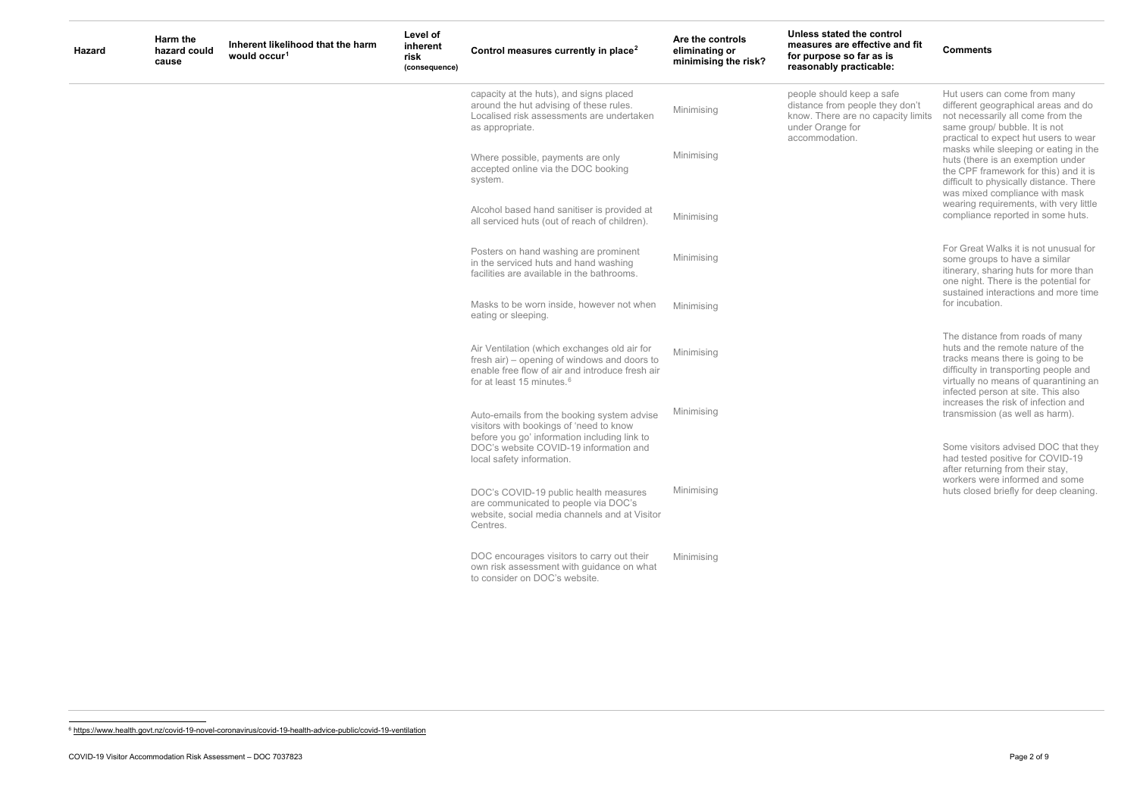### <span id="page-1-0"></span>**ne control ffective and fit for purpose so far as is**  cticable:

ep a safe ople they don't no capacity limits

<sup>6</sup> <https://www.health.govt.nz/covid-19-novel-coronavirus/covid-19-health-advice-public/covid-19-ventilation>

**Comments**

| <b>Hazard</b> | Harm the<br>hazard could<br>cause | Inherent likelihood that the harm<br>would occur <sup>1</sup> | Level of<br>inherent<br>risk<br>(consequence) | Control measures currently in place <sup>2</sup>                                                                                                                                                             | Are the controls<br>eliminating or<br>minimising the risk? | Unless stated the<br>measures are eff<br>for purpose so fa<br>reasonably pract                    |
|---------------|-----------------------------------|---------------------------------------------------------------|-----------------------------------------------|--------------------------------------------------------------------------------------------------------------------------------------------------------------------------------------------------------------|------------------------------------------------------------|---------------------------------------------------------------------------------------------------|
|               |                                   |                                                               |                                               | capacity at the huts), and signs placed<br>around the hut advising of these rules.<br>Localised risk assessments are undertaken<br>as appropriate.                                                           | Minimising                                                 | people should kee<br>distance from pec<br>know. There are r<br>under Orange for<br>accommodation. |
|               |                                   |                                                               |                                               | Where possible, payments are only<br>accepted online via the DOC booking<br>system.                                                                                                                          | Minimising                                                 |                                                                                                   |
|               |                                   |                                                               |                                               | Alcohol based hand sanitiser is provided at<br>all serviced huts (out of reach of children).                                                                                                                 | Minimising                                                 |                                                                                                   |
|               |                                   |                                                               |                                               | Posters on hand washing are prominent<br>in the serviced huts and hand washing<br>facilities are available in the bathrooms.                                                                                 | Minimising                                                 |                                                                                                   |
|               |                                   |                                                               |                                               | Masks to be worn inside, however not when<br>eating or sleeping.                                                                                                                                             | Minimising                                                 |                                                                                                   |
|               |                                   |                                                               |                                               | Air Ventilation (which exchanges old air for<br>fresh air) – opening of windows and doors to<br>enable free flow of air and introduce fresh air<br>for at least 15 minutes. <sup>6</sup>                     | Minimising                                                 |                                                                                                   |
|               |                                   |                                                               |                                               | Auto-emails from the booking system advise<br>visitors with bookings of 'need to know<br>before you go' information including link to<br>DOC's website COVID-19 information and<br>local safety information. | Minimising                                                 |                                                                                                   |
|               |                                   |                                                               |                                               | DOC's COVID-19 public health measures<br>are communicated to people via DOC's<br>website, social media channels and at Visitor<br>Centres.                                                                   | Minimising                                                 |                                                                                                   |
|               |                                   |                                                               |                                               | DOC encourages visitors to carry out their<br>own risk assessment with guidance on what<br>to consider on DOC's website.                                                                                     | Minimising                                                 |                                                                                                   |
|               |                                   |                                                               |                                               |                                                                                                                                                                                                              |                                                            |                                                                                                   |

Hut users can come from many different geographical areas and do not necessarily all come from the same group/ bubble. It is not practical to expect hut users to wear masks while sleeping or eating in the huts (there is an exemption under the CPF framework for this) and it is difficult to physically distance. There was mixed compliance with mask wearing requirements, with very little compliance reported in some huts.

For Great Walks it is not unusual for some groups to have a similar itinerary, sharing huts for more than one night. There is the potential for sustained interactions and more time for incubation.

The distance from roads of many huts and the remote nature of the tracks means there is going to be difficulty in transporting people and virtually no means of quarantining an infected person at site. This also increases the risk of infection and transmission (as well as harm).

Some visitors advised DOC that they had tested positive for COVID-19 after returning from their stay, workers were informed and some huts closed briefly for deep cleaning.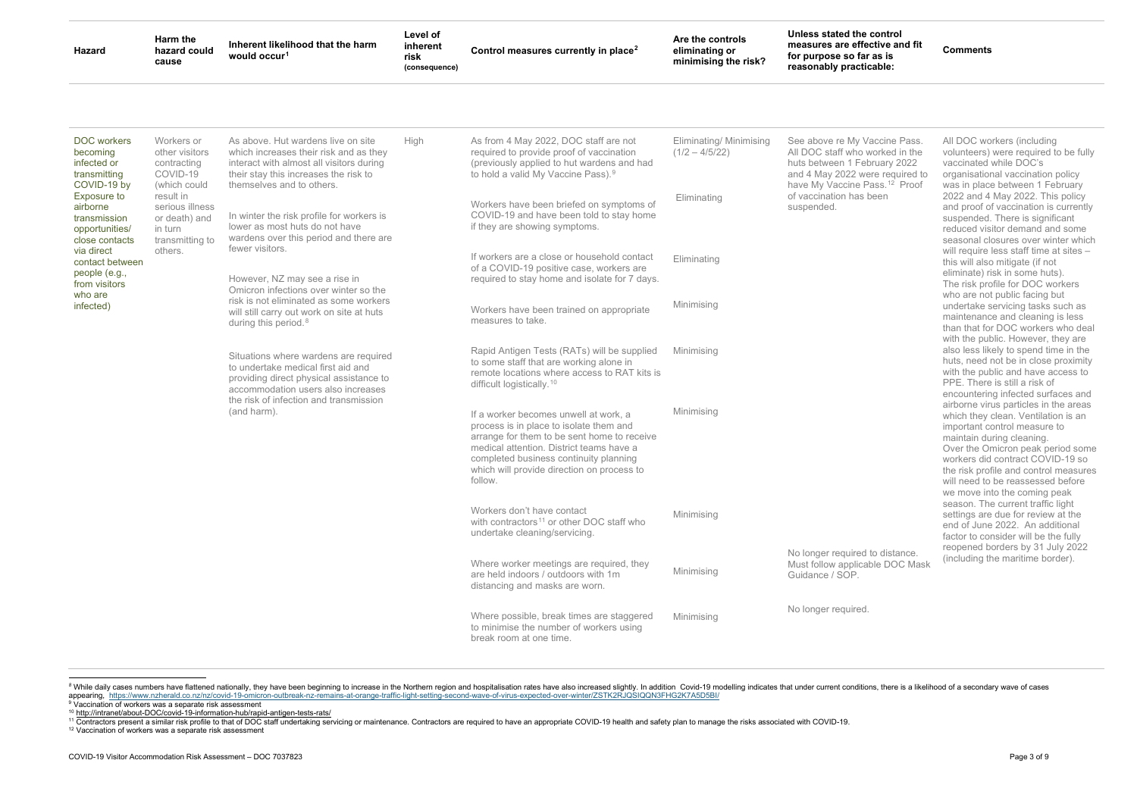### <span id="page-2-4"></span><span id="page-2-3"></span><span id="page-2-2"></span><span id="page-2-1"></span><span id="page-2-0"></span>**u**e control **ffective and fit for purpose so far as is reasonably practicable:**

**Comments**

Vaccine Pass. o worked in the February 2022 were required to Pass.<sup>[12](#page-2-4)</sup> Proof is been

| <b>Hazard</b>                                                                      | Harm the<br>hazard could<br>cause                                           | Inherent likelihood that the harm<br>would occur <sup>1</sup>                                                                                                                                          | Level of<br>inherent<br>risk<br>(consequence) | Control measures currently in place <sup>2</sup>                                                                                                                                                                                                                               | Are the controls<br>eliminating or<br>minimising the risk? | Unless stated th<br>measures are ef<br>for purpose so f<br>reasonably prac                    |
|------------------------------------------------------------------------------------|-----------------------------------------------------------------------------|--------------------------------------------------------------------------------------------------------------------------------------------------------------------------------------------------------|-----------------------------------------------|--------------------------------------------------------------------------------------------------------------------------------------------------------------------------------------------------------------------------------------------------------------------------------|------------------------------------------------------------|-----------------------------------------------------------------------------------------------|
| <b>DOC</b> workers<br>becoming<br>infected or<br>transmitting<br>COVID-19 by       | Workers or<br>other visitors<br>contracting<br>COVID-19<br>(which could     | As above. Hut wardens live on site<br>which increases their risk and as they<br>interact with almost all visitors during<br>their stay this increases the risk to<br>themselves and to others.         | High                                          | As from 4 May 2022, DOC staff are not<br>required to provide proof of vaccination<br>(previously applied to hut wardens and had<br>to hold a valid My Vaccine Pass). <sup>9</sup>                                                                                              | Eliminating/ Minimising<br>$(1/2 - 4/5/22)$                | See above re My<br>All DOC staff who<br>huts between 1 F<br>and 4 May 2022<br>have My Vaccine |
| <b>Exposure to</b><br>airborne<br>transmission<br>opportunities/<br>close contacts | result in<br>serious illness<br>or death) and<br>in turn<br>transmitting to | In winter the risk profile for workers is<br>lower as most huts do not have<br>wardens over this period and there are                                                                                  |                                               | Workers have been briefed on symptoms of<br>COVID-19 and have been told to stay home<br>if they are showing symptoms.                                                                                                                                                          | Eliminating                                                | of vaccination ha<br>suspended.                                                               |
| via direct<br>contact between<br>people (e.g.,<br>from visitors                    | others.                                                                     | fewer visitors.<br>However, NZ may see a rise in<br>Omicron infections over winter so the                                                                                                              |                                               | If workers are a close or household contact<br>of a COVID-19 positive case, workers are<br>required to stay home and isolate for 7 days.                                                                                                                                       | Eliminating                                                |                                                                                               |
| who are<br>infected)                                                               |                                                                             | risk is not eliminated as some workers<br>will still carry out work on site at huts<br>during this period. <sup>8</sup>                                                                                |                                               | Workers have been trained on appropriate<br>measures to take.                                                                                                                                                                                                                  | Minimising                                                 |                                                                                               |
|                                                                                    |                                                                             | Situations where wardens are required<br>to undertake medical first aid and<br>providing direct physical assistance to<br>accommodation users also increases<br>the risk of infection and transmission |                                               | Rapid Antigen Tests (RATs) will be supplied<br>to some staff that are working alone in<br>remote locations where access to RAT kits is<br>difficult logistically. <sup>10</sup>                                                                                                | Minimising                                                 |                                                                                               |
|                                                                                    |                                                                             | (and harm).                                                                                                                                                                                            |                                               | If a worker becomes unwell at work, a<br>process is in place to isolate them and<br>arrange for them to be sent home to receive<br>medical attention. District teams have a<br>completed business continuity planning<br>which will provide direction on process to<br>follow. | Minimising                                                 |                                                                                               |
|                                                                                    |                                                                             |                                                                                                                                                                                                        |                                               | Workers don't have contact<br>with contractors <sup>11</sup> or other DOC staff who<br>undertake cleaning/servicing.                                                                                                                                                           | Minimising                                                 |                                                                                               |
|                                                                                    |                                                                             |                                                                                                                                                                                                        |                                               | Where worker meetings are required, they<br>are held indoors / outdoors with 1m<br>distancing and masks are worn.                                                                                                                                                              | Minimising                                                 | No longer require<br>Must follow appli<br>Guidance / SOP.                                     |
|                                                                                    |                                                                             |                                                                                                                                                                                                        |                                               | Where possible, break times are staggered<br>to minimise the number of workers using<br>break room at one time.                                                                                                                                                                | Minimising                                                 | No longer require                                                                             |
|                                                                                    |                                                                             |                                                                                                                                                                                                        |                                               |                                                                                                                                                                                                                                                                                |                                                            |                                                                                               |

<sup>8</sup> While daily cases numbers have flattened nationally, they have been beginning to increase in the Northern region and hospitalisation rates have also increased slightly. In addition Covid-19 modelling indicates that und appearing, https://www.nzherald.co.nz/nz/covid-19-omicron-outbreak-nz-remains-at-orange-traffic-light-setting-second-wave-of-virus-expected-over-winter/ZSTK2RJQSIQQN3FHG2K7A5D5BI/<br><sup>9</sup> Vaccination of workers was a separate

<sup>11</sup> Contractors present a similar risk profile to that of DOC staff undertaking servicing or maintenance. Contractors are required to have an appropriate COVID-19 health and safety plan to manage the risks associated with

<sup>12</sup> Vaccination of workers was a separate risk assessment

All DOC workers (including volunteers) were required to be fully vaccinated while DOC's organisational vaccination policy was in place between 1 February 2022 and 4 May 2022. This policy and proof of vaccination is currently suspended. There is significant reduced visitor demand and some seasonal closures over winter which will require less staff time at sites this will also mitigate (if not eliminate) risk in some huts). The risk profile for DOC workers who are not public facing but undertake servicing tasks such as maintenance and cleaning is less than that for DOC workers who deal with the public. However, they are also less likely to spend time in the huts, need not be in close proximity with the public and have access to PPE. There is still a risk of encountering infected surfaces and airborne virus particles in the areas which they clean. Ventilation is an important control measure to maintain during cleaning. Over the Omicron peak period some workers did contract COVID-19 so the risk profile and control measures will need to be reassessed before we move into the coming peak season. The current traffic light settings are due for review at the end of June 2022. An additional factor to consider will be the fully reopened borders by 31 July 2022 (including the maritime border).

ed to distance. cable DOC Mask

ed.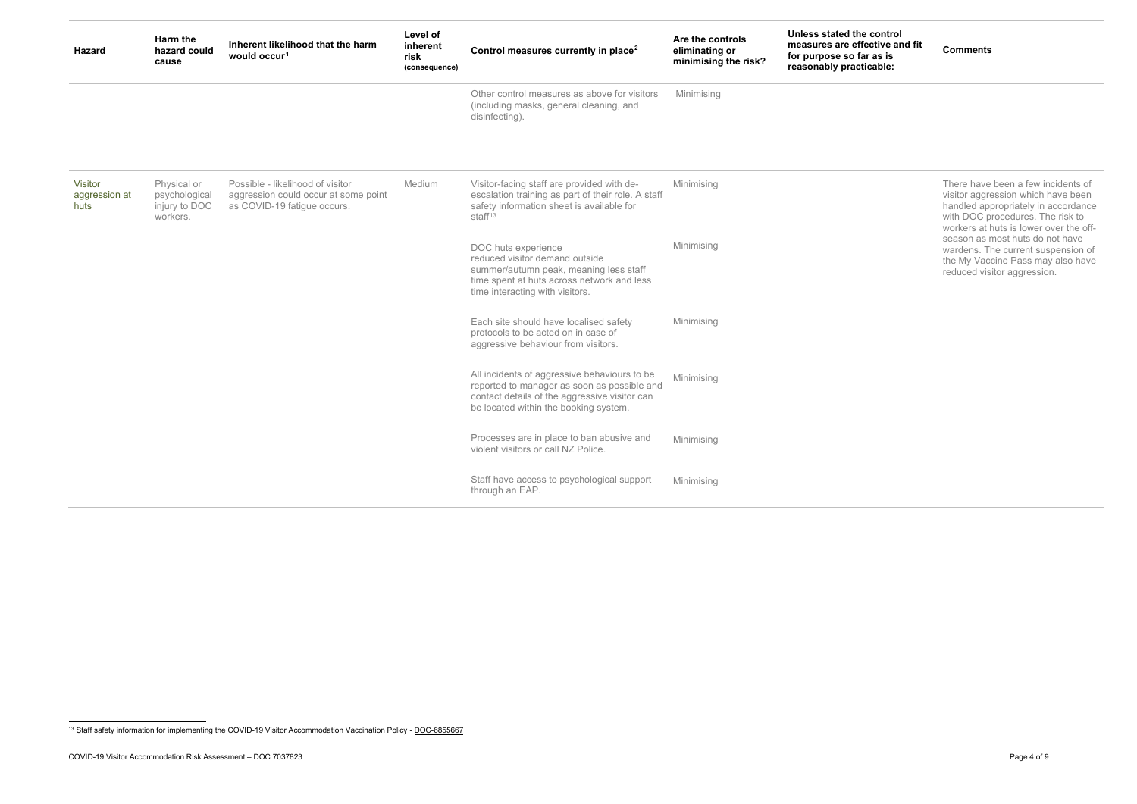<span id="page-3-0"></span>**Comments**

| <b>Hazard</b>                           | Harm the<br>hazard could<br>cause                         | Inherent likelihood that the harm<br>would occur <sup>1</sup>                                           | Level of<br>inherent<br>risk<br>(consequence) | Control measures currently in place <sup>2</sup>                                                                                                                                      | Are the controls<br>eliminating or<br>minimising the risk? | Unless stated t<br>measures are e<br>for purpose so<br>reasonably pra |
|-----------------------------------------|-----------------------------------------------------------|---------------------------------------------------------------------------------------------------------|-----------------------------------------------|---------------------------------------------------------------------------------------------------------------------------------------------------------------------------------------|------------------------------------------------------------|-----------------------------------------------------------------------|
|                                         |                                                           |                                                                                                         |                                               | Other control measures as above for visitors<br>(including masks, general cleaning, and<br>disinfecting).                                                                             | Minimising                                                 |                                                                       |
| <b>Visitor</b><br>aggression at<br>huts | Physical or<br>psychological<br>injury to DOC<br>workers. | Possible - likelihood of visitor<br>aggression could occur at some point<br>as COVID-19 fatigue occurs. | Medium                                        | Visitor-facing staff are provided with de-<br>escalation training as part of their role. A staff<br>safety information sheet is available for<br>staff <sup>13</sup>                  | Minimising                                                 |                                                                       |
|                                         |                                                           |                                                                                                         |                                               | DOC huts experience<br>reduced visitor demand outside<br>summer/autumn peak, meaning less staff<br>time spent at huts across network and less<br>time interacting with visitors.      | Minimising                                                 |                                                                       |
|                                         |                                                           |                                                                                                         |                                               | Each site should have localised safety<br>protocols to be acted on in case of<br>aggressive behaviour from visitors.                                                                  | Minimising                                                 |                                                                       |
|                                         |                                                           |                                                                                                         |                                               | All incidents of aggressive behaviours to be<br>reported to manager as soon as possible and<br>contact details of the aggressive visitor can<br>be located within the booking system. | Minimising                                                 |                                                                       |
|                                         |                                                           |                                                                                                         |                                               | Processes are in place to ban abusive and<br>violent visitors or call NZ Police.                                                                                                      | Minimising                                                 |                                                                       |
|                                         |                                                           |                                                                                                         |                                               | Staff have access to psychological support<br>through an EAP.                                                                                                                         | Minimising                                                 |                                                                       |

There have been a few incidents of visitor aggression which have been handled appropriately in accordance with DOC procedures. The risk to workers at huts is lower over the offseason as most huts do not have wardens. The current suspension of the My Vaccine Pass may also have reduced visitor aggression.

<sup>&</sup>lt;sup>13</sup> Staff safety information for implementing the COVID-19 Visitor Accommodation Vaccination Policy - DOC-6855667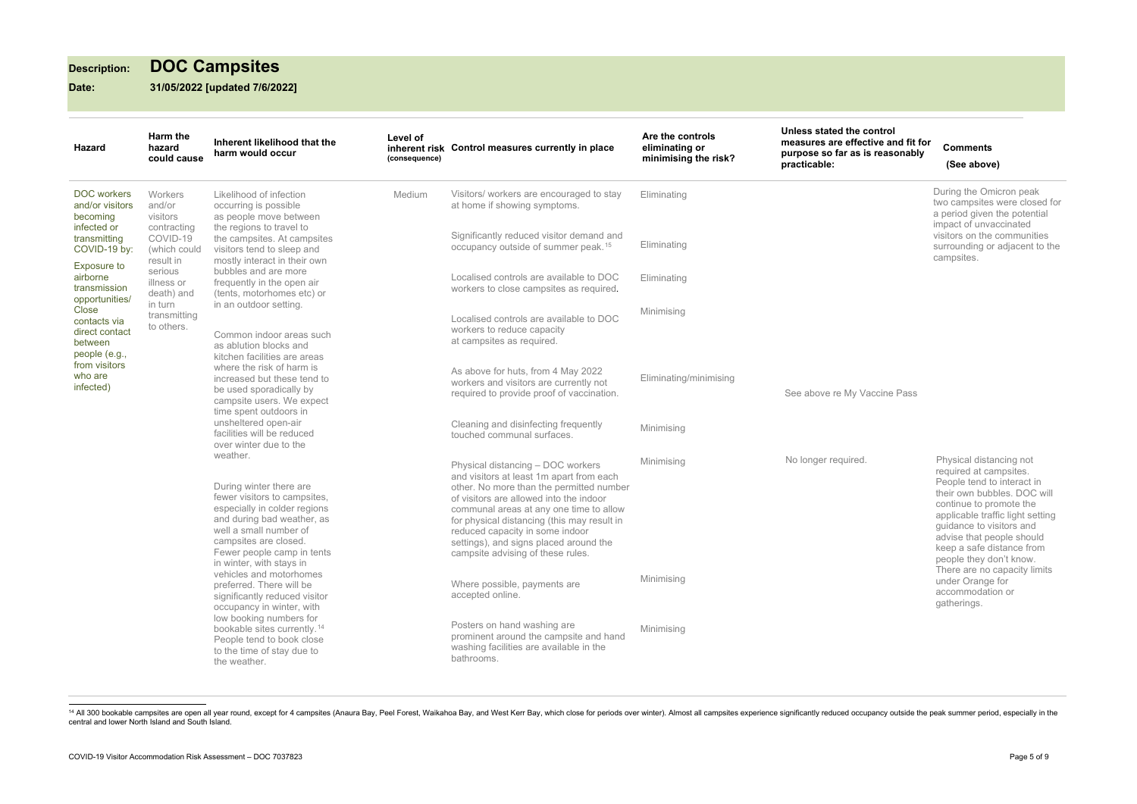# **Description: DOC Campsites**

**Date: 31/05/2022 [updated 7/6/2022]**

<sup>14</sup> All 300 bookable campsites are open all year round, except for 4 campsites (Anaura Bay, Peel Forest, Waikahoa Bay, and West Kerr Bay, which close for periods over winter). Almost all campsites experience significantly central and lower North Island and South Island.

<span id="page-4-1"></span><span id="page-4-0"></span>**u**e control fective and fit for **purpose so far as is reasonably** 

# **Comments (See above)**

| <b>Hazard</b>                                                                                                                  | Harm the<br>hazard<br>could cause            | Inherent likelihood that the<br>harm would occur                                                                                                                                                                                                           | Level of<br>inherent risk<br>(consequence) | Control measures currently in place                                                                                                                                                                                                                                                                                                                                              | Are the controls<br>eliminating or<br>minimising the risk? | Unless stated the<br>measures are eff<br>purpose so far a<br>practicable: |
|--------------------------------------------------------------------------------------------------------------------------------|----------------------------------------------|------------------------------------------------------------------------------------------------------------------------------------------------------------------------------------------------------------------------------------------------------------|--------------------------------------------|----------------------------------------------------------------------------------------------------------------------------------------------------------------------------------------------------------------------------------------------------------------------------------------------------------------------------------------------------------------------------------|------------------------------------------------------------|---------------------------------------------------------------------------|
| <b>DOC</b> workers<br>and/or visitors<br>becoming<br>infected or                                                               | Workers<br>and/or<br>visitors<br>contracting | Likelihood of infection<br>occurring is possible<br>as people move between<br>the regions to travel to                                                                                                                                                     | Medium                                     | Visitors/ workers are encouraged to stay<br>at home if showing symptoms.                                                                                                                                                                                                                                                                                                         | Eliminating                                                |                                                                           |
| transmitting<br>COVID-19 by:                                                                                                   | COVID-19<br>(which could<br>result in        | the campsites. At campsites<br>visitors tend to sleep and<br>mostly interact in their own                                                                                                                                                                  |                                            | Significantly reduced visitor demand and<br>occupancy outside of summer peak. <sup>15</sup>                                                                                                                                                                                                                                                                                      | Eliminating                                                |                                                                           |
| <b>Exposure to</b><br>airborne<br>transmission                                                                                 | serious<br>illness or<br>death) and          | bubbles and are more<br>frequently in the open air<br>(tents, motorhomes etc) or                                                                                                                                                                           |                                            | Localised controls are available to DOC<br>workers to close campsites as required.                                                                                                                                                                                                                                                                                               | Eliminating                                                |                                                                           |
| opportunities/<br>Close<br>contacts via<br>direct contact<br>between<br>people (e.g.,<br>from visitors<br>who are<br>infected) | in turn<br>transmitting<br>to others.        | in an outdoor setting.<br>Common indoor areas such<br>as ablution blocks and<br>kitchen facilities are areas<br>where the risk of harm is<br>increased but these tend to<br>be used sporadically by<br>campsite users. We expect<br>time spent outdoors in |                                            | Localised controls are available to DOC<br>workers to reduce capacity<br>at campsites as required.                                                                                                                                                                                                                                                                               | Minimising                                                 |                                                                           |
|                                                                                                                                |                                              |                                                                                                                                                                                                                                                            |                                            | As above for huts, from 4 May 2022<br>workers and visitors are currently not<br>required to provide proof of vaccination.                                                                                                                                                                                                                                                        | Eliminating/minimising                                     | See above re My                                                           |
|                                                                                                                                |                                              | unsheltered open-air<br>facilities will be reduced<br>over winter due to the                                                                                                                                                                               |                                            | Cleaning and disinfecting frequently<br>touched communal surfaces.                                                                                                                                                                                                                                                                                                               | Minimising                                                 |                                                                           |
|                                                                                                                                |                                              | weather.<br>During winter there are<br>fewer visitors to campsites,<br>especially in colder regions<br>and during bad weather, as<br>well a small number of<br>campsites are closed.<br>Fewer people camp in tents<br>in winter, with stays in             |                                            | Physical distancing - DOC workers<br>and visitors at least 1m apart from each<br>other. No more than the permitted number<br>of visitors are allowed into the indoor<br>communal areas at any one time to allow<br>for physical distancing (this may result in<br>reduced capacity in some indoor<br>settings), and signs placed around the<br>campsite advising of these rules. | Minimising                                                 | No longer require                                                         |
|                                                                                                                                |                                              | vehicles and motorhomes<br>preferred. There will be<br>significantly reduced visitor<br>occupancy in winter, with                                                                                                                                          |                                            | Where possible, payments are<br>accepted online.                                                                                                                                                                                                                                                                                                                                 | Minimising                                                 |                                                                           |
|                                                                                                                                |                                              | low booking numbers for<br>bookable sites currently. <sup>14</sup><br>People tend to book close<br>to the time of stay due to<br>the weather.                                                                                                              |                                            | Posters on hand washing are<br>prominent around the campsite and hand<br>washing facilities are available in the<br>bathrooms.                                                                                                                                                                                                                                                   | Minimising                                                 |                                                                           |

ed. Physical distancing not required at campsites. People tend to interact in their own bubbles. DOC will continue to promote the applicable traffic light setting guidance to visitors and advise that people should keep a safe distance from people they don't know. There are no capacity limits under Orange for accommodation or gatherings.

 During the Omicron peak two campsites were closed for a period given the potential impact of unvaccinated visitors on the communities surrounding or adjacent to the campsites.

Vaccine Pass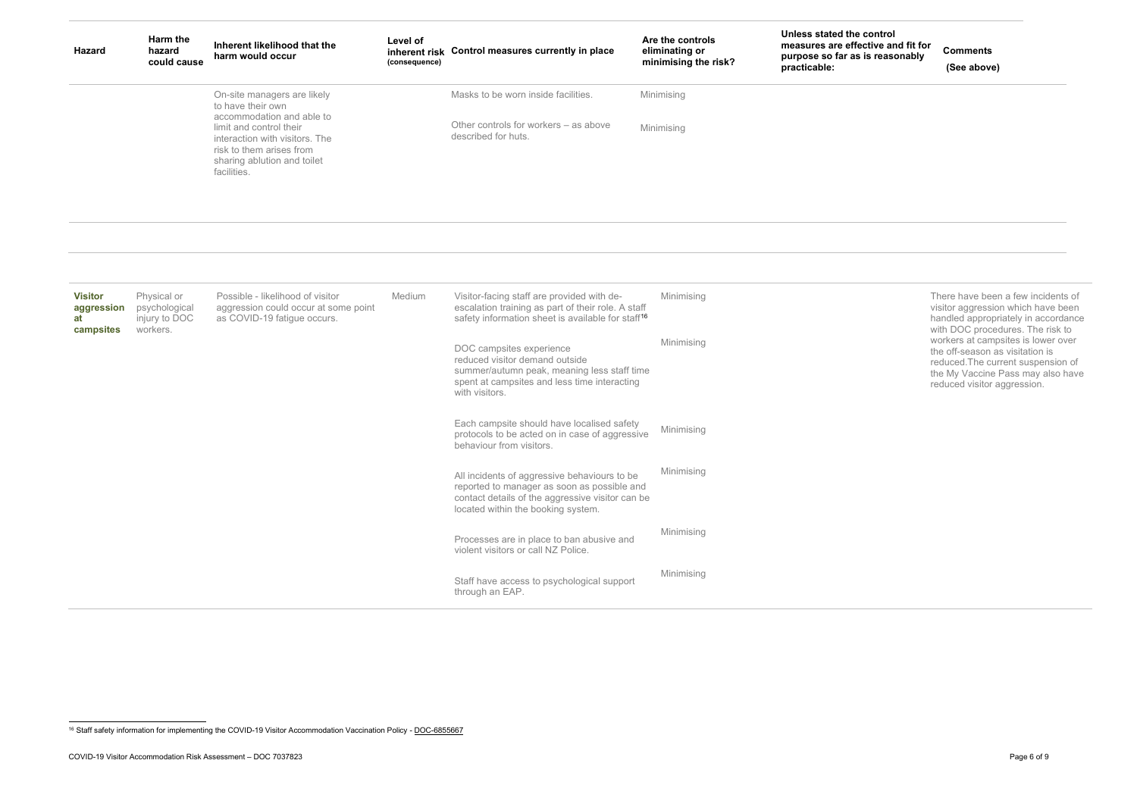# <span id="page-5-0"></span>**Control**

**Comments (See above)**

| <b>Hazard</b>                | Harm the<br>hazard<br>could cause | Inherent likelihood that the<br>harm would occur                                                                                                                                                                     | Level of<br>(consequence) | inherent risk Control measures currently in place                                                                                                                                                                                            | Are the controls<br>eliminating or<br>minimising the risk? | Unless stated the control<br>measures are effective and fit for<br>purpose so far as is reasonably<br>practicable: |
|------------------------------|-----------------------------------|----------------------------------------------------------------------------------------------------------------------------------------------------------------------------------------------------------------------|---------------------------|----------------------------------------------------------------------------------------------------------------------------------------------------------------------------------------------------------------------------------------------|------------------------------------------------------------|--------------------------------------------------------------------------------------------------------------------|
|                              |                                   | On-site managers are likely<br>to have their own<br>accommodation and able to<br>limit and control their<br>interaction with visitors. The<br>risk to them arises from<br>sharing ablution and toilet<br>facilities. |                           | Masks to be worn inside facilities.<br>Other controls for workers - as above<br>described for huts.                                                                                                                                          | Minimising<br>Minimising                                   |                                                                                                                    |
| <b>Visitor</b><br>aggression | Physical or<br>psychological      | Possible - likelihood of visitor<br>aggression could occur at some point                                                                                                                                             | Medium                    | Visitor-facing staff are provided with de-<br>escalation training as part of their role. A staff                                                                                                                                             | Minimising                                                 |                                                                                                                    |
| at<br>campsites              | injury to DOC<br>workers.         | as COVID-19 fatigue occurs.                                                                                                                                                                                          |                           | safety information sheet is available for staff <sup>16</sup><br>DOC campsites experience<br>reduced visitor demand outside<br>summer/autumn peak, meaning less staff time<br>spent at campsites and less time interacting<br>with visitors. | Minimising                                                 |                                                                                                                    |
|                              |                                   |                                                                                                                                                                                                                      |                           | Each campsite should have localised safety<br>protocols to be acted on in case of aggressive<br>behaviour from visitors.                                                                                                                     | Minimising                                                 |                                                                                                                    |
|                              |                                   |                                                                                                                                                                                                                      |                           | All incidents of aggressive behaviours to be<br>reported to manager as soon as possible and<br>contact details of the aggressive visitor can be<br>located within the booking system.                                                        | Minimising                                                 |                                                                                                                    |
|                              |                                   |                                                                                                                                                                                                                      |                           | Processes are in place to ban abusive and<br>violent visitors or call NZ Police.                                                                                                                                                             | Minimising                                                 |                                                                                                                    |
|                              |                                   |                                                                                                                                                                                                                      |                           | Staff have access to psychological support<br>through an EAP.                                                                                                                                                                                | Minimising                                                 |                                                                                                                    |

There have been a few incidents of visitor aggression which have been handled appropriately in accordance with DOC procedures. The risk to workers at campsites is lower over the off-season as visitation is reduced.The current suspension of the My Vaccine Pass may also have reduced visitor aggression.

<sup>&</sup>lt;sup>16</sup> Staff safety information for implementing the COVID-19 Visitor Accommodation Vaccination Policy - DOC-6855667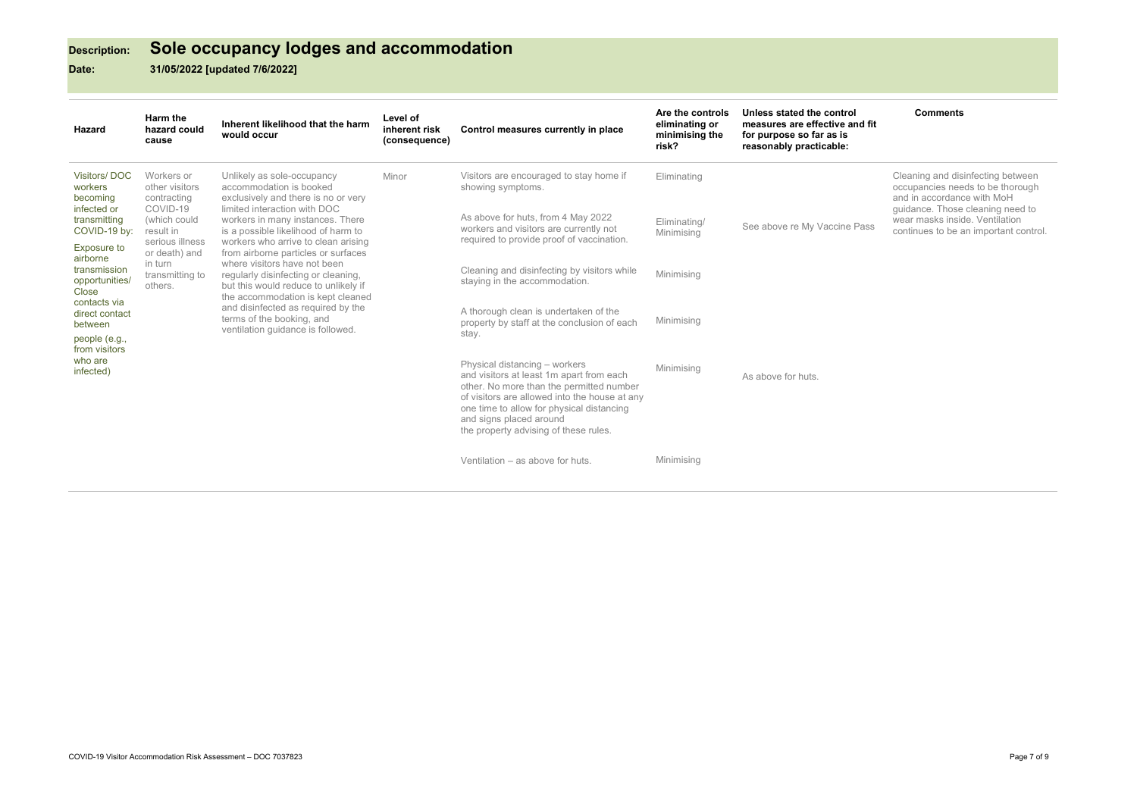# **Description: Sole occupancy lodges and accommodation**

**Date: 31/05/2022 [updated 7/6/2022]**

## **Comments**

Cleaning and disinfecting between occupancies needs to be thorough and in accordance with MoH guidance. Those cleaning need to side. Ventilation an important control.

| Hazard                                                                    | Harm the<br>hazard could<br>cause                                         | Inherent likelihood that the harm<br>would occur                                                                                                                                                                                                                                                                                                                                                                                                  | Level of<br>inherent risk<br>(consequence) | Control measures currently in place                                                                                                                                                                                                                                                     | Are the controls<br>eliminating or<br>minimising the<br>risk? | Unless stated the control<br>measures are effective and fit<br>for purpose so far as is<br>reasonably practicable: | <b>Comment</b>                                      |
|---------------------------------------------------------------------------|---------------------------------------------------------------------------|---------------------------------------------------------------------------------------------------------------------------------------------------------------------------------------------------------------------------------------------------------------------------------------------------------------------------------------------------------------------------------------------------------------------------------------------------|--------------------------------------------|-----------------------------------------------------------------------------------------------------------------------------------------------------------------------------------------------------------------------------------------------------------------------------------------|---------------------------------------------------------------|--------------------------------------------------------------------------------------------------------------------|-----------------------------------------------------|
| Visitors/DOC<br>workers<br>becoming                                       | Workers or<br>other visitors<br>contracting<br>COVID-19                   | Unlikely as sole-occupancy<br>accommodation is booked<br>exclusively and there is no or very                                                                                                                                                                                                                                                                                                                                                      | Minor                                      | Visitors are encouraged to stay home if<br>showing symptoms.                                                                                                                                                                                                                            | Eliminating                                                   |                                                                                                                    | Cleaning and d<br>occupancies ne<br>and in accordar |
| infected or<br>transmitting<br>COVID-19 by:                               | (which could<br>result in                                                 | limited interaction with DOC<br>workers in many instances. There<br>is a possible likelihood of harm to<br>workers who arrive to clean arising<br>from airborne particles or surfaces<br>where visitors have not been<br>regularly disinfecting or cleaning,<br>but this would reduce to unlikely if<br>the accommodation is kept cleaned<br>and disinfected as required by the<br>terms of the booking, and<br>ventilation guidance is followed. |                                            | As above for huts, from 4 May 2022<br>workers and visitors are currently not<br>required to provide proof of vaccination.                                                                                                                                                               | Eliminating/<br>Minimising                                    | See above re My Vaccine Pass                                                                                       | guidance. Thos<br>wear masks ins<br>continues to be |
| <b>Exposure to</b><br>airborne<br>transmission<br>opportunities/<br>Close | serious illness<br>or death) and<br>in turn<br>transmitting to<br>others. |                                                                                                                                                                                                                                                                                                                                                                                                                                                   |                                            | Cleaning and disinfecting by visitors while<br>staying in the accommodation.                                                                                                                                                                                                            | Minimising                                                    |                                                                                                                    |                                                     |
| contacts via<br>direct contact<br>between<br>people (e.g.,                | from visitors<br>who are<br>infected)                                     |                                                                                                                                                                                                                                                                                                                                                                                                                                                   |                                            | A thorough clean is undertaken of the<br>property by staff at the conclusion of each<br>stay.                                                                                                                                                                                           | Minimising                                                    |                                                                                                                    |                                                     |
|                                                                           |                                                                           |                                                                                                                                                                                                                                                                                                                                                                                                                                                   |                                            | Physical distancing - workers<br>and visitors at least 1m apart from each<br>other. No more than the permitted number<br>of visitors are allowed into the house at any<br>one time to allow for physical distancing<br>and signs placed around<br>the property advising of these rules. | Minimising                                                    | As above for huts.                                                                                                 |                                                     |
|                                                                           |                                                                           |                                                                                                                                                                                                                                                                                                                                                                                                                                                   |                                            | Ventilation - as above for huts.                                                                                                                                                                                                                                                        | Minimising                                                    |                                                                                                                    |                                                     |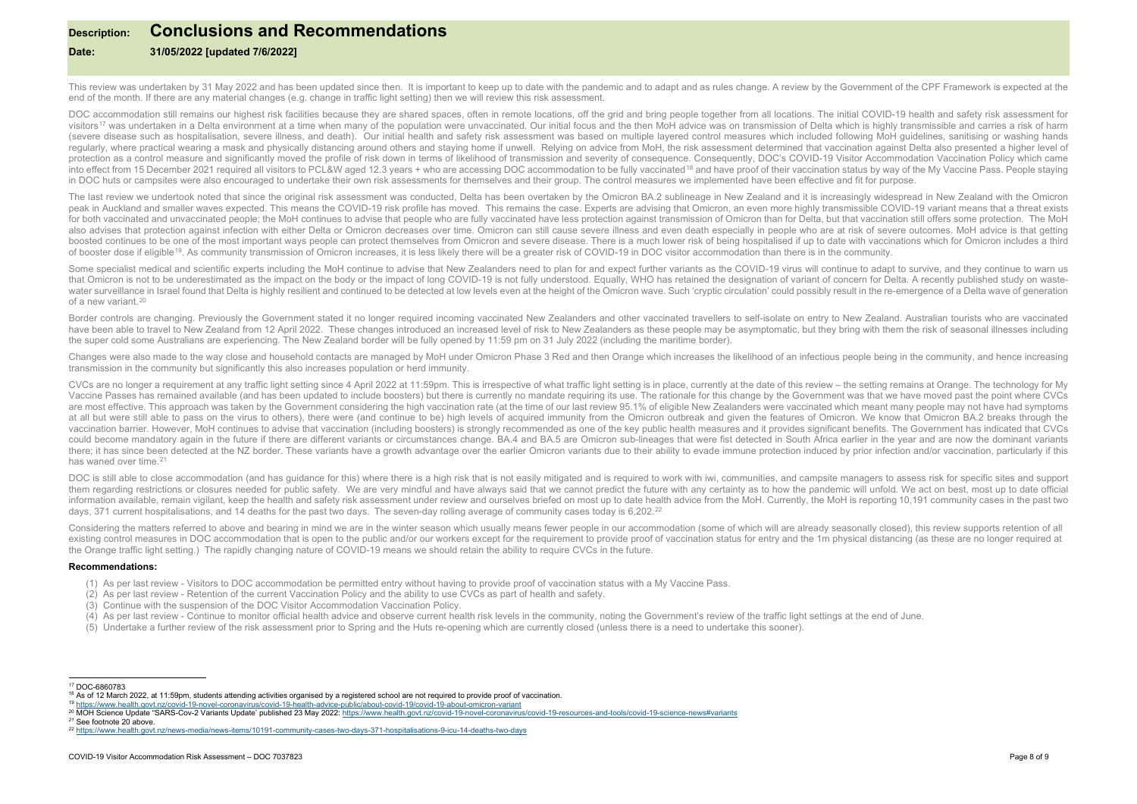# <span id="page-7-5"></span><span id="page-7-4"></span><span id="page-7-3"></span><span id="page-7-2"></span><span id="page-7-1"></span><span id="page-7-0"></span>**Description: Conclusions and Recommendations**

## **Date: 31/05/2022 [updated 7/6/2022]**

This review was undertaken by 31 May 2022 and has been updated since then. It is important to keep up to date with the pandemic and to adapt and as rules change. A review by the Government of the CPF Framework is expected end of the month. If there are any material changes (e.g. change in traffic light setting) then we will review this risk assessment.

DOC accommodation still remains our highest risk facilities because they are shared spaces, often in remote locations, off the grid and bring people together from all locations. The initial COVID-19 health and safety risk visitors<sup>[17](#page-7-0)</sup> was undertaken in a Delta environment at a time when many of the population were unvaccinated. Our initial focus and the then MoH advice was on transmission of Delta which is highly transmissible and carries a (severe disease such as hospitalisation, severe illness, and death). Our initial health and safety risk assessment was based on multiple layered control measures which included following MoH quidelines, sanitising or washi reqularly, where practical wearing a mask and physically distancing around others and staying home if unwell. Relying on advice from MoH, the risk assessment determined that vaccination against Delta also presented a highe protection as a control measure and significantly moved the profile of risk down in terms of likelihood of transmission and severity of consequence. Consequently, DOC's COVID-19 Visitor Accommodation Vaccination Policy whi into effect from 15 December 2021 required all visitors to PCL&W aged 12.3 years + who are accessing DOC accommodation to be fully vaccinated<sup>[18](#page-7-1)</sup> and have proof of their vaccination status by way of the My Vaccine Pass. Pe in DOC huts or campsites were also encouraged to undertake their own risk assessments for themselves and their group. The control measures we implemented have been effective and fit for purpose.

The last review we undertook noted that since the original risk assessment was conducted. Delta has been overtaken by the Omicron BA.2 sublineage in New Zealand and it is increasingly widespread in New Zealand with the Omi peak in Auckland and smaller waves expected. This means the COVID-19 risk profile has moved. This remains the case. Experts are advising that Omicron, an even more highly transmissible COVID-19 variant means that a threat for both vaccinated and unvaccinated people; the MoH continues to advise that people who are fully vaccinated have less protection against transmission of Omicron than for Delta, but that vaccination still offers some prot also advises that protection against infection with either Delta or Omicron decreases over time. Omicron can still cause severe illness and even death especially in people who are at risk of severe outcomes. MoH advice is boosted continues to be one of the most important ways people can protect themselves from Omicron and severe disease. There is a much lower risk of being hospitalised if up to date with vaccinations which for Omicron inclu of booster dose if eligible[19](#page-7-2). As community transmission of Omicron increases, it is less likely there will be a greater risk of COVID-19 in DOC visitor accommodation than there is in the community.

Some specialist medical and scientific experts including the MoH continue to advise that New Zealanders need to plan for and expect further variants as the COVID-19 virus will continue to adapt to survive, and they continu that Omicron is not to be underestimated as the impact on the body or the impact of long COVID-19 is not fully understood. Equally, WHO has retained the designation of variant of concern for Delta. A recently published stu water surveillance in Israel found that Delta is highly resilient and continued to be detected at low levels even at the height of the Omicron wave. Such 'cryptic circulation' could possibly result in the re-emergence of a of a new variant.[20](#page-7-3)

Border controls are changing. Previously the Government stated it no longer required incoming vaccinated New Zealanders and other vaccinated travellers to self-isolate on entry to New Zealand. Australian tourists who are v have been able to travel to New Zealand from 12 April 2022. These changes introduced an increased level of risk to New Zealanders as these people may be asymptomatic, but they bring with them the risk of seasonal illnesses the super cold some Australians are experiencing. The New Zealand border will be fully opened by 11:59 pm on 31 July 2022 (including the maritime border).

Changes were also made to the way close and household contacts are managed by MoH under Omicron Phase 3 Red and then Orange which increases the likelihood of an infectious people being in the community, and hence increasin transmission in the community but significantly this also increases population or herd immunity.

CVCs are no longer a requirement at any traffic light setting since 4 April 2022 at 11:59pm. This is irrespective of what traffic light setting is in place, currently at the date of this review - the setting remains at Ora Vaccine Passes has remained available (and has been updated to include boosters) but there is currently no mandate requiring its use. The rationale for this change by the Government was that we have moved past the point wh are most effective. This approach was taken by the Government considering the high vaccination rate (at the time of our last review 95.1% of eligible New Zealanders were vaccinated which meant many people may not have had at all but were still able to pass on the virus to others), there were (and continue to be) high levels of acquired immunity from the Omicron outbreak and given the features of Omicron. We know that Omicron BA.2 breaks thr vaccination barrier. However, MoH continues to advise that vaccination (including boosters) is strongly recommended as one of the key public health measures and it provides significant benefits. The Government has indicate could become mandatory again in the future if there are different variants or circumstances change. BA.4 and BA.5 are Omicron sub-lineages that were fist detected in South Africa earlier in the year and are now the dominan there; it has since been detected at the NZ border. These variants have a growth advantage over the earlier Omicron variants due to their ability to evade immune protection induced by prior infection and/or vaccination, pa has waned over time.<sup>[21](#page-7-4)</sup>

DOC is still able to close accommodation (and has guidance for this) where there is a high risk that is not easily mitigated and is required to work with iwi, communities, and campsite managers to assess risk for specific them regarding restrictions or closures needed for public safety. We are very mindful and have always said that we cannot predict the future with any certainty as to how the pandemic will unfold. We act on best, most up to information available, remain vigilant, keep the health and safety risk assessment under review and ourselves briefed on most up to date health advice from the MoH. Currently, the MoH is reporting 10,191 community cases in days, 371 current hospitalisations, and 14 deaths for the past two days. The seven-day rolling average of community cases today is 6,202.<sup>[22](#page-7-5)</sup>

Considering the matters referred to above and bearing in mind we are in the winter season which usually means fewer people in our accommodation (some of which will are already seasonally closed), this review supports reten existing control measures in DOC accommodation that is open to the public and/or our workers except for the requirement to provide proof of vaccination status for entry and the 1m physical distancing (as these are no longe the Orange traffic light setting.) The rapidly changing nature of COVID-19 means we should retain the ability to require CVCs in the future.

### **Recommendations:**

- (1) As per last review Visitors to DOC accommodation be permitted entry without having to provide proof of vaccination status with a My Vaccine Pass.
- (2) As per last review Retention of the current Vaccination Policy and the ability to use CVCs as part of health and safety.
- (3) Continue with the suspension of the DOC Visitor Accommodation Vaccination Policy.
- (4) As per last review Continue to monitor official health advice and observe current health risk levels in the community, noting the Government's review of the traffic light settings at the end of June.
- (5) Undertake a further review of the risk assessment prior to Spring and the Huts re-opening which are currently closed (unless there is a need to undertake this sooner).

*<sup>17</sup>* DOC-6860783

<sup>&</sup>lt;sup>18</sup> As of 12 March 2022, at 11:59pm, students attending activities organised by a registered school are not required to provide proof of vaccination.<br><sup>19</sup> https://www.health.govt.nz/covid-19-novel-coronavirus/covid-19-hea

<sup>&</sup>lt;sup>20</sup> MOH Science Update "SARS-Cov-2 Variants Update' published 23 May 2022: https://www.health.govt.nz/covid-19-novel-coronavirus/covid-19-resources-and-tools/covid-19-science-news#variants

*<sup>21</sup>* See footnote 20 above.

*<sup>22</sup>* <https://www.health.govt.nz/news-media/news-items/10191-community-cases-two-days-371-hospitalisations-9-icu-14-deaths-two-days>